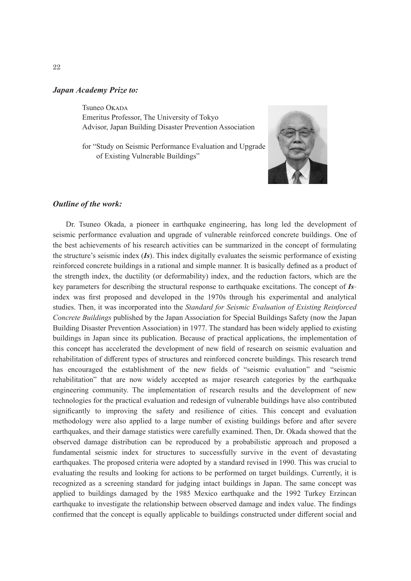#### *Japan Academy Prize to:*

Tsuneo Okada Emeritus Professor, The University of Tokyo Advisor, Japan Building Disaster Prevention Association

for "Study on Seismic Performance Evaluation and Upgrade of Existing Vulnerable Buildings"



### *Outline of the work:*

Dr. Tsuneo Okada, a pioneer in earthquake engineering, has long led the development of seismic performance evaluation and upgrade of vulnerable reinforced concrete buildings. One of the best achievements of his research activities can be summarized in the concept of formulating the structure's seismic index (*Is*). This index digitally evaluates the seismic performance of existing reinforced concrete buildings in a rational and simple manner. It is basically defined as a product of the strength index, the ductility (or deformability) index, and the reduction factors, which are the key parameters for describing the structural response to earthquake excitations. The concept of *Is*index was first proposed and developed in the 1970s through his experimental and analytical studies. Then, it was incorporated into the *Standard for Seismic Evaluation of Existing Reinforced Concrete Buildings* published by the Japan Association for Special Buildings Safety (now the Japan Building Disaster Prevention Association) in 1977. The standard has been widely applied to existing buildings in Japan since its publication. Because of practical applications, the implementation of this concept has accelerated the development of new field of research on seismic evaluation and rehabilitation of different types of structures and reinforced concrete buildings. This research trend has encouraged the establishment of the new fields of "seismic evaluation" and "seismic rehabilitation" that are now widely accepted as major research categories by the earthquake engineering community. The implementation of research results and the development of new technologies for the practical evaluation and redesign of vulnerable buildings have also contributed significantly to improving the safety and resilience of cities. This concept and evaluation methodology were also applied to a large number of existing buildings before and after severe earthquakes, and their damage statistics were carefully examined. Then, Dr. Okada showed that the observed damage distribution can be reproduced by a probabilistic approach and proposed a fundamental seismic index for structures to successfully survive in the event of devastating earthquakes. The proposed criteria were adopted by a standard revised in 1990. This was crucial to evaluating the results and looking for actions to be performed on target buildings. Currently, it is recognized as a screening standard for judging intact buildings in Japan. The same concept was applied to buildings damaged by the 1985 Mexico earthquake and the 1992 Turkey Erzincan earthquake to investigate the relationship between observed damage and index value. The findings confirmed that the concept is equally applicable to buildings constructed under different social and

22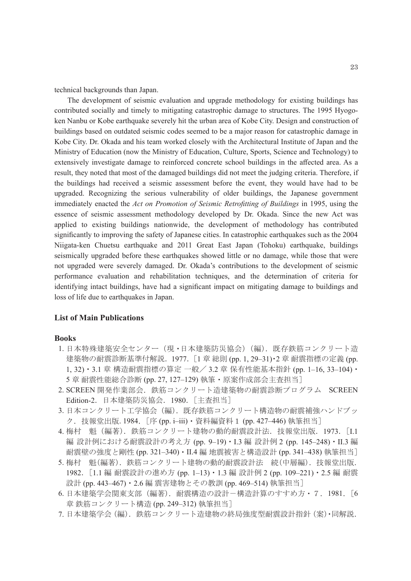technical backgrounds than Japan.

The development of seismic evaluation and upgrade methodology for existing buildings has contributed socially and timely to mitigating catastrophic damage to structures. The 1995 Hyogoken Nanbu or Kobe earthquake severely hit the urban area of Kobe City. Design and construction of buildings based on outdated seismic codes seemed to be a major reason for catastrophic damage in Kobe City. Dr. Okada and his team worked closely with the Architectural Institute of Japan and the Ministry of Education (now the Ministry of Education, Culture, Sports, Science and Technology) to extensively investigate damage to reinforced concrete school buildings in the affected area. As a result, they noted that most of the damaged buildings did not meet the judging criteria. Therefore, if the buildings had received a seismic assessment before the event, they would have had to be upgraded. Recognizing the serious vulnerability of older buildings, the Japanese government immediately enacted the *Act on Promotion of Seismic Retrofitting of Buildings* in 1995, using the essence of seismic assessment methodology developed by Dr. Okada. Since the new Act was applied to existing buildings nationwide, the development of methodology has contributed significantly to improving the safety of Japanese cities. In catastrophic earthquakes such as the 2004 Niigata-ken Chuetsu earthquake and 2011 Great East Japan (Tohoku) earthquake, buildings seismically upgraded before these earthquakes showed little or no damage, while those that were not upgraded were severely damaged. Dr. Okada's contributions to the development of seismic performance evaluation and rehabilitation techniques, and the determination of criteria for identifying intact buildings, have had a significant impact on mitigating damage to buildings and loss of life due to earthquakes in Japan.

### **List of Main Publications**

#### **Books**

- 1. 日本特殊建築安全センター(現・日本建築防災協会)(編). 既存鉄筋コンクリート造 建築物の耐震診断基準付解説. 1977. [1章 総則 (pp. 1, 29–31)・2 章 耐震指標の定義 (pp. 1, 32)・3.1 章 構造耐震指標の算定 一般/ 3.2 章 保有性能基本指針 (pp. 1–16, 33–104)・ 5 章 耐震性能総合診断 (pp. 27, 127–129) 執筆・原案作成部会主査担当]
- 2. SCREEN 開発作業部会. 鉄筋コンクリート造建築物の耐震診断プログラム SCREEN Edition-2.日本建築防災協会.1980.[主査担当]
- 3. 日本コンクリート工学協会(編). 既存鉄筋コンクリート構造物の耐震補強ハンドブッ ク. 技報堂出版. 1984. [序 (pp. i–iii)・資料編資料 1 (pp. 427–446) 執筆担当]
- 4. 梅村 魁(編著).鉄筋コンクリート建物の動的耐震設計法.技報堂出版.1973.[I.1 編 設計例における耐震設計の考え方 (pp. 9–19)・I.3 編 設計例 2 (pp. 145–248)・II.3 編 耐震壁の強度と剛性 (pp. 321–340)・II.4 編 地震被害と構造設計 (pp. 341–438) 執筆担当]
- 5. 梅村 魁(編著). 鉄筋コンクリート建物の動的耐震設計法 続(中層編). 技報堂出版. 1982.[1.1 編 耐震設計の進め方 (pp. 1–13)・1.3 編 設計例 2 (pp. 109–221)・2.5 編 耐震 設計 (pp. 443–467)・2.6 編 震害建物とその教訓 (pp. 469–514) 執筆担当]
- 6. 日本建築学会関東支部(編著). 耐震構造の設計-構造計算のすすめ方・7. 1981. [6 章 鉄筋コンクリート構造 (pp. 249–312) 執筆担当]
- 7. 日本建築学会(編). 鉄筋コンクリート造建物の終局強度型耐震設計指針(案)・同解説.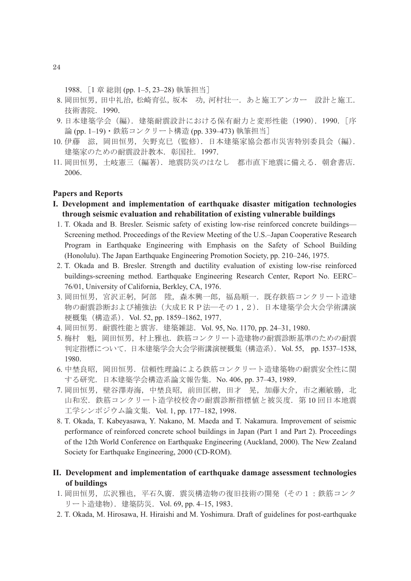1988. [1 章 総則 (pp. 1–5, 23–28) 執筆担当]

- 8. 岡田恒男,田中礼治,松崎育弘,坂本 功,河村壮一.あと施工アンカー 設計と施工. 技術書院.1990.
- 9. 日本建築学会(編). 建築耐震設計における保有耐力と変形性能(1990). 1990. [序 論 (pp. 1–19)・鉄筋コンクリート構造 (pp. 339–473) 執筆担当]
- 10. 伊藤 滋, 岡田恒男, 矢野克巳 (監修). 日本建築家協会都市災害特別委員会 (編). 建築家のための耐震設計教本. 彰国社. 1997.
- 11. 岡田恒男,土岐憲三(編著).地震防災のはなし 都市直下地震に備える.朝倉書店. 2006.

## **Papers and Reports**

- **I. Development and implementation of earthquake disaster mitigation technologies through seismic evaluation and rehabilitation of existing vulnerable buildings**
	- 1. T. Okada and B. Bresler. Seismic safety of existing low-rise reinforced concrete buildings— Screening method. Proceedings of the Review Meeting of the U.S.–Japan Cooperative Research Program in Earthquake Engineering with Emphasis on the Safety of School Building (Honolulu). The Japan Earthquake Engineering Promotion Society, pp. 210–246, 1975.
- 2. T. Okada and B. Bresler. Strength and ductility evaluation of existing low-rise reinforced buildings-screening method. Earthquake Engineering Research Center, Report No. EERC– 76/01, University of California, Berkley, CA, 1976.
- 3. 岡田恒男, 宮沢正躬, 阿部 陞, 森本興一郎, 福島順一. 既存鉄筋コンクリート造建 物の耐震診断および補強法(大成ERP法―その1,2).日本建築学会大会学術講演 梗概集 (構造系). Vol. 52, pp. 1859-1862, 1977.
- 4. 岡田恒男. 耐震性能と震害. 建築雑誌. Vol. 95, No. 1170, pp. 24–31, 1980.
- 5. 梅村 魁, 岡田恒男, 村上雅也. 鉄筋コンクリート造建物の耐震診断基準のための耐震 判定指標について. 日本建築学会大会学術講演梗概集 (構造系). Vol. 55, pp. 1537-1538, 1980.
- 6. 中埜良昭,岡田恒男.信頼性理論による鉄筋コンクリート造建築物の耐震安全性に関 する研究.日本建築学会構造系論文報告集.No. 406, pp. 37–43, 1989.
- 7. 岡田恒男, 壁谷澤寿海, 中埜良昭, 前田匡樹, 田才 晃, 加藤大介, 市之瀬敏勝, 北 山和宏. 鉄筋コンクリート造学校校舎の耐震診断指標値と被災度. 第10回日本地震 工学シンポジウム論文集.Vol. 1, pp. 177–182, 1998.
- 8. T. Okada, T. Kabeyasawa, Y. Nakano, M. Maeda and T. Nakamura. Improvement of seismic performance of reinforced concrete school buildings in Japan (Part 1 and Part 2). Proceedings of the 12th World Conference on Earthquake Engineering (Auckland, 2000). The New Zealand Society for Earthquake Engineering, 2000 (CD-ROM).
- **II. Development and implementation of earthquake damage assessment technologies of buildings**
	- 1. 岡田恒男,広沢雅也,平石久廣. 震災構造物の復旧技術の開発(その1:鉄筋コンク リート造建物). 建築防災. Vol. 69, pp. 4–15, 1983.
- 2. T. Okada, M. Hirosawa, H. Hiraishi and M. Yoshimura. Draft of guidelines for post-earthquake

24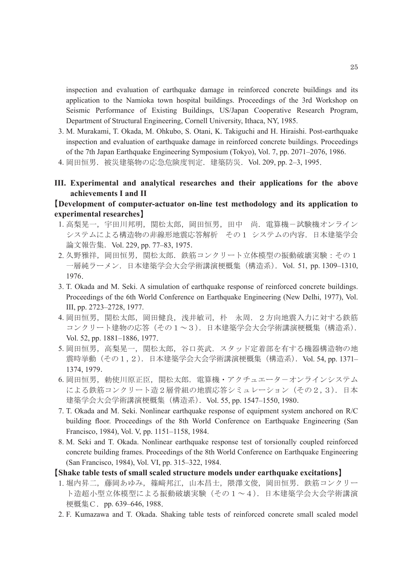inspection and evaluation of earthquake damage in reinforced concrete buildings and its application to the Namioka town hospital buildings. Proceedings of the 3rd Workshop on Seismic Performance of Existing Buildings, US/Japan Cooperative Research Program, Department of Structural Engineering, Cornell University, Ithaca, NY, 1985.

- 3. M. Murakami, T. Okada, M. Ohkubo, S. Otani, K. Takiguchi and H. Hiraishi. Post-earthquake inspection and evaluation of earthquake damage in reinforced concrete buildings. Proceedings of the 7th Japan Earthquake Engineering Symposium (Tokyo), Vol. 7, pp. 2071–2076, 1986.
- 4. 岡田恒男. 被災建築物の応急危険度判定. 建築防災. Vol. 209, pp. 2-3, 1995.
- **III. Experimental and analytical researches and their applications for the above achievements I and II**

# 【**Development of computer-actuator on-line test methodology and its application to experimental researches**】

- 1. 高梨晃一,宇田川邦明,関松太郎,岡田恒男,田中 尚. 電算機-試験機オンライン システムによる構造物の非線形地震応答解析 その1 システムの内容.日本建築学会 論文報告集. Vol. 229, pp. 77-83, 1975.
- 2. 久野雅祥,岡田恒男,関松太郎. 鉄筋コンクリート立体模型の振動破壊実験:その1 一層純ラーメン.日本建築学会大会学術講演梗概集(構造系).Vol. 51, pp. 1309–1310, 1976.
- 3. T. Okada and M. Seki. A simulation of earthquake response of reinforced concrete buildings. Proceedings of the 6th World Conference on Earthquake Engineering (New Delhi, 1977), Vol. III, pp. 2723–2728, 1977.
- 4. 岡田恒男, 関松太郎, 岡田健良, 浅井敏司, 朴 永周. 2方向地震入力に対する鉄筋 コンクリート建物の応答(その1~3).日本建築学会大会学術講演梗概集(構造系). Vol. 52, pp. 1881–1886, 1977.
- 5. 岡田恒男, 高梨晃一, 関松太郎, 谷口英武. スタッド定着部を有する機器構造物の地 震時挙動 (その1,2). 日本建築学会大会学術講演梗概集 (構造系). Vol. 54, pp. 1371– 1374, 1979.
- 6. 岡田恒男, 勅使川原正臣, 関松太郎. 電算機·アクチュエーターオンラインシステム による鉄筋コンクリート造2層骨組の地震応答シミュレーション(その2,3).日本 建築学会大会学術講演梗概集 (構造系). Vol. 55, pp. 1547-1550, 1980.
- 7. T. Okada and M. Seki. Nonlinear earthquake response of equipment system anchored on R/C building floor. Proceedings of the 8th World Conference on Earthquake Engineering (San Francisco, 1984), Vol. V, pp. 1151–1158, 1984.
- 8. M. Seki and T. Okada. Nonlinear earthquake response test of torsionally coupled reinforced concrete building frames. Proceedings of the 8th World Conference on Earthquake Engineering (San Francisco, 1984), Vol. VI, pp. 315–322, 1984.
- 【**Shake table tests of small scaled structure models under earthquake excitations**】
- 1. 堀内昇二,藤岡あゆみ,篠﨑邦江,山本昌士,隈澤文俊,岡田恒男.鉄筋コンクリー ト造超小型立体模型による振動破壊実験(その1~4).日本建築学会大会学術講演 梗概集C.pp. 639–646, 1988.
- 2. F. Kumazawa and T. Okada. Shaking table tests of reinforced concrete small scaled model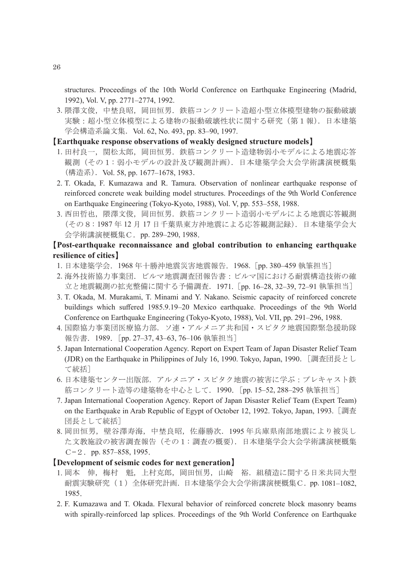structures. Proceedings of the 10th World Conference on Earthquake Engineering (Madrid, 1992), Vol. V, pp. 2771–2774, 1992.

3. 隈澤文俊,中埜良昭, 岡田恒男. 鉄筋コンクリート造超小型立体模型建物の振動破壊 実験:超小型立体模型による建物の振動破壊性状に関する研究(第1報). 日本建築 学会構造系論文集. Vol. 62, No. 493, pp. 83-90, 1997.

# 【**Earthquake response observations of weakly designed structure models**】

- 1. 田村良一,関松太郎, 岡田恒男. 鉄筋コンクリート造建物弱小モデルによる地震応答 観測(その1:弱小モデルの設計及び観測計画).日本建築学会大会学術講演梗概集 (構造系).Vol. 58, pp. 1677–1678, 1983.
- 2. T. Okada, F. Kumazawa and R. Tamura. Observation of nonlinear earthquake response of reinforced concrete weak building model structures. Proceedings of the 9th World Conference on Earthquake Engineering (Tokyo-Kyoto, 1988), Vol. V, pp. 553–558, 1988.
- 3. 西田哲也, 隈澤文俊, 岡田恒男. 鉄筋コンクリート造弱小モデルによる地震応答観測 (その8:1987 年 12 月 17 日千葉県東方沖地震による応答観測記録).日本建築学会大 会学術講演梗概集 C. pp. 289-290, 1988.

# 【**Post-earthquake reconnaissance and global contribution to enhancing earthquake resilience of cities**】

- 1. 日本建築学会.1968 年十勝沖地震災害地震報告.1968.[pp. 380–459 執筆担当]
- 2. 海外技術協力事業団.ビルマ地震調査団報告書:ビルマ国における耐震構造技術の確 立と地震観測の拡充整備に関する予備調査.1971.[pp. 16–28, 32–39, 72–91 執筆担当]
- 3. T. Okada, M. Murakami, T. Minami and Y. Nakano. Seismic capacity of reinforced concrete buildings which suffered 1985.9.19–20 Mexico earthquake. Proceedings of the 9th World Conference on Earthquake Engineering (Tokyo-Kyoto, 1988), Vol. VII, pp. 291–296, 1988.
- 4. 国際協力事業団医療協力部.ソ連・アルメニア共和国・スピタク地震国際緊急援助隊 報告書. 1989. [pp. 27–37, 43–63, 76–106 執筆担当]
- 5. Japan International Cooperation Agency. Report on Expert Team of Japan Disaster Relief Team (JDR) on the Earthquake in Philippines of July 16, 1990. Tokyo, Japan, 1990. [調査団長とし て統括]
- 6. 日本建築センター出版部.アルメニア・スピタク地震の被害に学ぶ:プレキャスト鉄 筋コンクリート造等の建築物を中心として. 1990. [pp. 15-52, 288-295 執筆担当]
- 7. Japan International Cooperation Agency. Report of Japan Disaster Relief Team (Expert Team) on the Earthquake in Arab Republic of Egypt of October 12, 1992. Tokyo, Japan, 1993. [調査 団長として統括]
- 8. 岡田恒男,壁谷澤寿海,中埜良昭,佐藤勝次.1995 年兵庫県南部地震により被災し た文教施設の被害調査報告(その1:調査の概要).日本建築学会大会学術講演梗概集  $C-2$ . pp. 857–858, 1995.

## 【**Development of seismic codes for next generation**】

- 1. 岡本 伸, 梅村 魁, 上村克郎, 岡田恒男, 山崎 裕. 組積造に関する日米共同大型 耐震実験研究(1)全体研究計画. 日本建築学会大会学術講演梗概集C. pp. 1081-1082, 1985.
- 2. F. Kumazawa and T. Okada. Flexural behavior of reinforced concrete block masonry beams with spirally-reinforced lap splices. Proceedings of the 9th World Conference on Earthquake